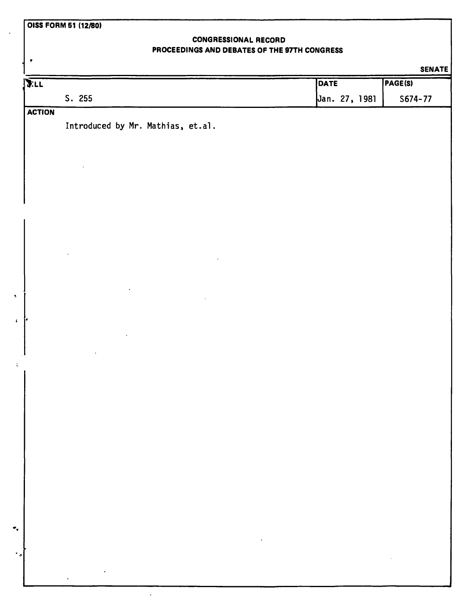Ŷ

 $\hat{\mathbf{z}}$ 

 $\pmb{\epsilon}$ 

 $\Lambda$ 

۰.

 $\cdot$  .

 $\bar{\mathcal{A}}$ 

# **CONGRESSIONAL RECORD PROCEEDINGS AND DEBATES OF THE 97TH CONGRESS**

**SENATE** 

| $\sqrt{\sum_{i=1}^{n}$ |                                                             | DATE          | PAGE(S)     |
|------------------------|-------------------------------------------------------------|---------------|-------------|
|                        | S. 255                                                      | Jan. 27, 1981 | $S674 - 77$ |
| <b>ACTION</b>          | Introduced by Mr. Mathias, et.al.                           |               |             |
|                        |                                                             |               |             |
|                        |                                                             |               |             |
|                        |                                                             |               |             |
|                        |                                                             |               |             |
| Ì۴                     |                                                             |               |             |
|                        |                                                             |               |             |
|                        |                                                             |               |             |
|                        |                                                             |               |             |
|                        |                                                             |               |             |
|                        |                                                             |               |             |
|                        | $\mathcal{L}(\mathcal{L})$ and $\mathcal{L}(\mathcal{L})$ . |               |             |
|                        | $\bullet$                                                   |               |             |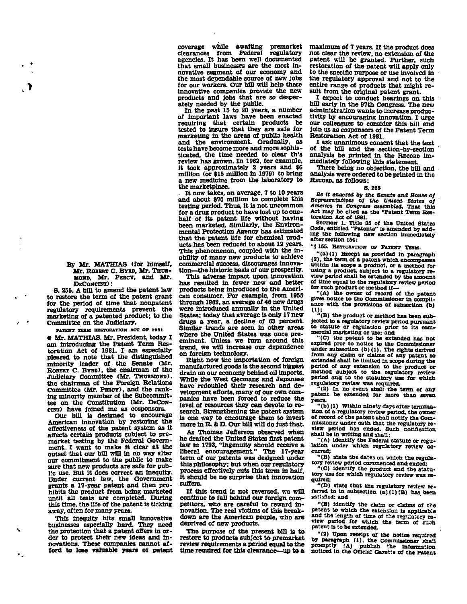**By Mr. MATHIAS (for himself, Mr. ROBERT C. BYXD, Mr. THUR-MOND, Mr. PERCY, and Mr. DECONCINI) :** 

**S. 255. A bill to amend the patent law to restore the term of the patent grant for the period of time that nonpatent regulatory requirements prevent the marketing of a patented product; to the Committee, on the Judiciary.** 

. 7

**PATENT TERM RESTORATION ACT OF 1981** 

**• Mr. MATHIAS. Mr. President, today I am introducing the Patent Term Restoration Act of 1981. I am especially pleased to note that the distinguished minority leader of the Senate (Mr. ROBERT C. BTRD), the chairman of the Judiciary Committee (Mr. THURMOND). the chairman of the Foreign Relations Committee (Mr. PERCY), and the ranking minority member of the Subcommittee on the Constitution (Mr. DECON-CINI) have Joined me as cosponsors.** 

**Our bill is designed to encourage American innovation by restoring the effectiveness of the patent system as it affects certain products subject to premarket testing by the Federal Government. I want to make it clear at the outset that our bill will in no way alter our commitment to the public to make sure that new products are safe for public use. But it does correct an inequity. Under current law, the Government grants a 17-year patent and then prohibits the product from being marketed until all tests are completed. During this time, the life of the patent is ticking away, often for many years.** 

**This inequity hits small innovative businesses especially hard. They need the protection that a patent offers in order to protect their new ideas and innovations. These companies cannot afford to lose valuable years of patent** 

**coverage while awaiting premarket clearances from Federal regulatory agencies. It has been well documented that small businesses are the most innovative segment of our economy and the most dependable source of new jobs for our workers. Our bill will help these innovative companies provide the new products and jobs that are so desperately needed by the public.** 

**In the past 15 to 20 years, a number of important laws have been enacted requiring that certain products be tested to insure that they are safe for marketing in the areas of public health and the environment. Gradually, as tests have become more and more sophisticated, the time needed to clear th's review has grown. In 1962, for example, it took approximately 2 years and \$G million (or \$15 million in 1979) to bring a new medicine from the laboratory to the marketplace.** 

**. It now takes, on average, 7 to 10 years and about \$70 million to complete this testing period. Thus, it is not uncommon for a drug product to have lost up to onehalf of its patent life without having been marketed. Similarly, the Environmental Protection Agency has estimated that the patent life for chemical products has been reduced to about 12 years. This phenomenon, coupled with the inability of many new products to achieve commercial success, discourages innovation—the historic basis of our prosperity.** 

**This adverse impact upon innovation has resulted in fewer new and better products being introduced to the American consumer. For example, from 1955 through 1962, an average of 46 new drugs were introduced annually in the United States; today that average is only 17 new drugs a year, a decline of 63 percent. Similar trends are seen in other areas where the United States was once preeminent. Unless we turn around this trend, we will increase our dependence on foreign technology.** 

**Right now the importation of foreign manufactured goods is the second biggest drain on our economy behind oil imports. While the West Germans and Japanese have'redoubled their research and development efforts, many of our own companies have been forced to reduce the level of resources they can devote to research. Strengthening the patent system is one way to encourage them to invest more in R. & D. Our bill will do just that.** 

**As Thomas Jefferson observed when he drafted the United States first patent law in 1793, "ingenuity should receive a liberal encouragement." The 17-year term of our patents was designed under this philosophy; but when our regulatory process effectively cuts this term in half, it should be no surprise that innovation suffers.** 

**If this trend is not reversed, we will continue to fall behind our foreign competitors, who are careful to reward innovation. The real victims of this breakdown are the American people, who are deprived of new products.** 

The purpose of the present bill is to **restore to products subject to premarket review requirements a period equal to the time required for this clearance—up to a** 

**maximum of 7 years. If the product does not clear the review, no extension of the patent will be granted. Further, such restoration of the patent will apply only to the specific purpose or use involved in the regulatory approval and not to the entire range of products that might result from the original patent grant.** 

**I expect to conduct hearings on this bill early in the 97th Congress. The new administration wants to increase productivity by encouraging innovation. I urge our colleagues to consider this bill and join us as cosponsors of the Patent Term Restoration Act of 1981.** 

**I ask unanimous consent that the text of the bill and the section-by-section analysis be printed in the RECORD immediately following this statement.** 

**There being no objection, the bill and analysis were ordered to be printed in the RECORD, as follows:** 

## **S. 25S**

*Be it enacted by the Senate and House of Representatives of the United States of America in Congress assembled.* **That this Act may be cited as the "Patent Term Restoration Act of 1981.** 

**SECTION 1. Title 35 of the United States Code, entitled "Patents" Is amended by adding the following new section Immediately after section 154:** 

**"5155. RESTORATION OF PATENT TERM.** 

**"(a) (l) Except as provided In paragraph (2), the term of a patent which encompasses within its scope a product, or a method for using a product, subject to a regulatory review period shall be extended by the amount of time equal to the regulatory review period for such product or method if—** 

**"(A) the owner of record of the patent gives notice to the Commissioner in compliance with the provisions of subsection (b) (i):** 

**"(B) the product or method has been subjected to a regulatory review period pursuant to statute or regulation prior to its com-mercial marketing or use; and** 

**"(C) the patent to be extended has not**  expired pror to notice to the Commissioner under subsection (b) (1). The rights derived from any claim or claims of any patent so extended shall be limited in scope during the **period of any extension to the product or method subject to the regulatory review period and to the statutory use far which regulatory review was required.** 

**"(2) in no event shall the term of any patent be extended for more than seven years.** 

**"(b)(1) Within ninety days after termination of a regulatory review period, the owner of record of the patent shall notify the Commissioner under oath that the regulatory review period has ended. Such notification shall be In writing and shall:** 

**"(A) identify the Federal statute or regu**lation under which regulatory review oc**curred;** 

**"(B) state the dates on which the regula-**

**tory review period commenced and ended; "(C) Identify the product and the statutory use for which regulatory review was required;** 

**"(D) state that the regulatory review referred to in subsection (a)(1)(B) has been satisfied; and** 

**"(E) Identify the claim or claims of the patent to which the extension is applicable**  and the length of time of the regulatory re**view period for which the term of such patent is to be extended.** 

**"(2) Upon receipt of the notice required by paragraph (1). the Commissioner shall promptly fA) publish the information noticed in the Official Gazette of the Patent**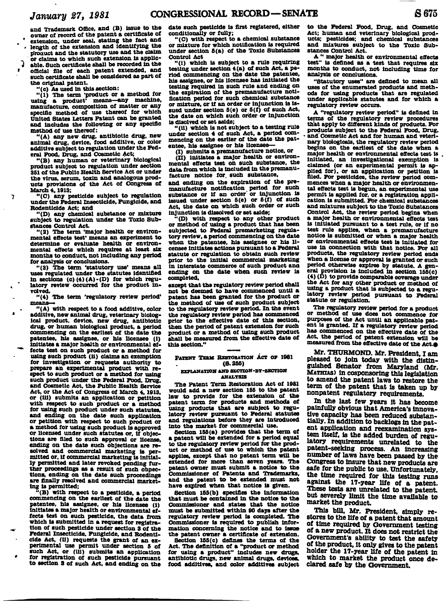**and Trademark Office, and (B) Issue to the owner of record of the patent a certificate of \* extension, under seal, stating the fact and ' length of the extension and identifying the proauct and the statutory use and the claim** 

or claims to which such extension is applic-<br> **d** able. Such certificate shall be recorded in the *i* **able. Such certificate shall be recorded in the > official file of each patent extended, and such certificate shall be considered as part of the original patent.** 

**"(c) As used in this section:** 

**"(1) The term 'product or a method for using a product' means—any machine, manufacture, composition of matter or any specific method of use thereof for which United States Letters Patent can be granted and Includes the following or any specific method of use thereof:** 

**"(A) any new drug, antibiotic drug, new animal drug, device, food additive, or color additive subject to regulation under the Federal Food, Drug, and Cosmetic Act;** 

**"(B) any human or veterinary biological product subject to regulation under section 351 of the Public Health Service Act or under the virus, serum, toxin and analogous products provisions of the Act of Congress of March 4,1913;** 

**7 "(C) any pesticide subject to regulation under the Federal Insecticide, Fungicide, and Rodenticide Act; and** 

**"(D) any chemical substance or mixture subject to regulation under the Toxic Sub-Stances Control Act.** 

**"(2) The term 'major health or environmental effects test' means an experiment to determine or evaluate health or environmental effects which requires at least six months to conduct, not including any period for analysis or conclusions.** 

**"(3) The term 'statutory use' means all uses regulated under the statutes identified in sections (c) (4) (A)-(D) for which regu- , ' latory review occurred for the product involved.** 

**"(4) The term 'regulatory review period' means—** 

**"(A) with respect to a food additive, color \* additive, new animal drug, veterinary biolog-ical product, device, new drug, antibiotic drug, or human biological product, a period commencing on the earliest of the date the patentee, his assignee, or his licensee (1) Initiates a major health or environmental ef** fects test on such product or a method for **using such product (il) claims an exemption for Investigation or requests authority to prepare an experimental product with respect to such product or a method for using such product under the Federal Food, Drug, and Cosmetic Act, the Public Health Service Act, or the Act of Congress of March 4,1913, or (111) submits an application or petition with respect to such product or a method for using such product under such statutes, and ending on the date such application or petition with respect to sucb product or a method for using such product is approved or licensed under such statutes or, If objections are filed to such approval or license, ending on the date such objections are resolved and commercial marketing is permitted or, if commercial marketing is Initially permitted and later revoked pending further proceedings as a result of such obpectlons, ending on the date such proceedings are finally resolved and commercial marketing is permitted;** 

**"(B) with respect to a pesticide, a period commencing on the earliest of the date the patentee, his assignee, or his licensee (I) initiates a major health or environmental effects test on such pesticide, the data from which is submitted in a request for reglstra- \_. tlon of such pesticide under section 3 of the Federal Insecticide. Fungicide, and Rodenticide Act. (11) requests the grant of an experimental use permit under section 5 of such Act, or (ill) submits an application \* for registration of such pesticide pursuant to section 3 of such Act, and ending on the** 

**date such pesticide is first registered, either conditionally or fully;** 

**"(C) with respect to a chemical substance or mixture for which notification is required under section 6(a) of the Toxic Substances Control Act** 

**"(1) which is subject to a rule requiring testing under section 4(a) of sucb Act, a period commencing on the date the patentee, his assignee, or his licensee has initiated the testing required in such rule and ending on the expiration of the premanufacture notification period for such chemical substance or mixture, or if an order or injunction is issued under section 8(e) or 5(f) of such Act, the date on which such order or injunction is disolved or set aside;** 

**"(11) which is not subject to a testing rule under section 4 of such Act, a period commencing on the earlier of the date the pat**entee, his assignee or his license

**(I) submits a premanufacture notice, or** 

**(II) initiates a major health or environmental effects test on such substance, the data from which is included in the premanufacture notice for, such substance,** 

**and ending on the expiration of the premanufacture notification period for such substance or if an order' or Injunction Is issued under section 6(e) or 5(f) of such Act, the date on which such order or sucb injunction Is dissolved or set aside;** 

**"(D) with respect to any other product or method of using a product that has been subjected to Federal premarketing regula-tory review, a period commencing on the date when the patentee, his assignee, or his li-censee Initiates actions pursuant to a Federal statute or regulation to obtain such review prior to the Initial commercial marketing in interstate commerce of such product ana ending on the date when such review is completed,** 

**except that the regulatory review period shall not be deemed to have commenced until a patent has been granted for the product or the method of use of such product subject to the regulatory review period. In the event the regulatory review period has commenced prior to the effective date of this section, then the period of patent extension for such product or a method of using such product shall be measured from the effective date of this section."** 

### PATENT TEBM RESTORATION ACT OF 1981 **(S.255)**

#### **EXPLANATION AND SECTION-BY-SECTION ANALYSIS**

**The Patent Term Restoration Act of 1981 would add a new section 155 to the patent**  law to provide for the extension of the **patent term for products and methods of using products that are subject to regu-latory review pursuant to Federal statutes and regulations before they are Introduced into the market for commercial use.** 

**Section 155(a) provides that the term of a patent will be extended for a period equal to the regulatory review period for the product or method of use to which the patent applies, except that no patent term will be extended for more than seven years. The patent owner must submit a notice to the Commissioner of Patents and Trademarks, and the patent to be extended must not have expired when that notice Is given.** 

**Section 155(b) specifies the information that must be contained in the notice to the Commissioner and states that the notice must be submitted within 90 days after the regulatory review period is completed. The Commissioner Is required to publish Information concerning the notice and to issue the patent owner a certificate of extension.** 

**Section 155(c) defines the terms of the Act. The definition of a "product or method for using a product" Includes new drugs, antibiotic drugs, new animal drugs, devices, food additives, and color additives subject** 

**to the Federal Food, Drug, and Cosmetic Act; human and veterinary biological prod-ucts; pesticides; and chemical substances and mixtures subject to the Toxic Substances Control Act.** 

**A " major health or environmental effects test" is defined as a test that requires six months to conduct, not Including time for analysis or conclusions.** 

**"Statutory uses" are defined to mean all uses of the enumerated products and meth-ods for using products that are regulated under applicable statutes and for which a regulatory review occurs.** 

**A "regulatory review period" Is defined in terms of the regulatory review procedures that apply to different kinds of products. For products subject to the Federal Food, Drug,**  and Cosmetic Act and for human and veteri**nary blologicals, the regulatory review period begins on the earliest of the date when a major health or environmental effects test is initiated, an investigational exemption is claimed (or an experimental permit Is ap-plied for), or an application or petition Is filed. For pesticides, the review period commences when a major health or environmental effects test is begun, an experimental use**  permit is applied for, or a registration appli**cation is submitted. For chemical substances and mixtures subject to the Toxic Substances Control Act, the review period begins when a major health or environmental effects test is initiated pursuant to a test rule, or if no test rule applies, when a premanufacture notice Is submitted or when a major health or environmental effects test is initiated for use In connection with that notice. For all products, the regulatory review period ends when a license or approval is granted or such period otherwise expires by statute. A general provision Is Included In section 165(c) (4) (D) to provide comparable coverage under the Act for any other product or method of**<br> **using a product that is subjected to a regu-**<br>
latory review period pursuant to Federal and a regulatory review period pursuant to Federal statute or regulation.

**The regulatory review period for a product or method of use does not commence for purposes of the Act until an applicable patent Is granted. If a regulatory review period has commenced on the effective date of the Act, the period of patent extension will be measured from the effective date of the Act.0** 

**Mr. THURMOND. Mr. President, I am pleased to join today with the distinguished Senator from Maryland (Mr. MATHXAS) in cosponsoring this legislation to amend the patent laws to restore the term of the patent that Is taken up by nonpatent regulatory requirements.** 

**In the last few years it has become painfully obvious that America's innovative capacity has been reduced substantially. In addition to backlogs in the patent application and reexamination system itself, is the added burden of regulatory requirements unrelated to the patent-seeking process. An increasing number of laws have been passed by the Congress to insure that new products are safe for the public to use. Unfortunately, the time required for this testing runs against the 17-year life of a patent. These tests are unrelated to the patent, but severely limit the time available to market the product.** 

**This bill, Mr. President, simply restores to the life of a patent that amount of time required by Government testing of a new product. It does not restrict the Government's ability to test the safety of the product, it only gives to the patent holder the 17-year life of the patent in which to market the product once declared safe by the Government.**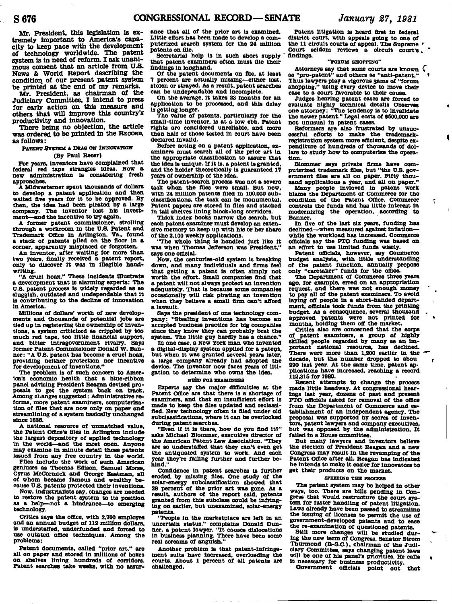**Mr. President, this legislation is extremely important to America's capacity to keep pace with the development of technology worldwide. The patent system is in need of reform. I ask unani**mous consent that an article from U.S. **News & World Report describing the condition of our present patent system be printed at the end of my remarks.** 

**Mr. President, as chairman of the Judiciary Committee, I intend to press for early action on this measure and others that will improve this country's productivity and innovation.** 

**There being no objection, the article was ordered to be printed in the RECORD, as follows:** 

# **PATENT SYSTEM A DRAG ON INNOVATION**

### **(By Paul Recer)**

**For years, inventors have complained that federal red tape strangles Ideas. Now a new administration is considering fresh approaches.** 

**A Midwestemer spent thousands of dollars to develop a patent application and then waited five years for it to be approved. By then, the idea had been pirated by a large company. The Inventor lost his investment—and the incentive to try again.** 

**A former patent commissioner, strolling through a workroom in the U.S. Patent and Trademark Office in Arlington, Va., found a stack of patents piled on the floor in a corner, apparently misplaced or forgotten.** 

**An inventor, after waiting for more than two years, finally received a patent report, only to discover it was in illegible handwriting.** 

**"A cruel hoax." These incidents illustrate a development that Is alarming experts: The U.S. patent process is widely regarded as so sluggish, outdated and undependable that it is contributing to the decline of innovation In America.** 

**Millions of dollars' worth of new developments and thousands of potential Jobs are tied up in registering the ownership of inventions, a system criticized as crippled by too**  much red tape, too little financial support,<br>and bitter intragovernment rivalry. Sava and bitter intragovernment rivalry. **former Patent Commissioner Donald W. Banner: "A U.S. patent has become a cruel hoax, providing neither protection nor Incentive for development of inventions."** 

**The problem is of such concern to America's economic health that a blue-ribbon panel advising President Reagan devised proposals to get the system back on track. Among changes suggested: Administrative reforms, more patent examiners, computerization of files that are now only on paper and streamlining of a system basically unchanged since 1836.** 

**A national resource of unmatched value, the Patent Office's files in Arlington include the largest depository of applied technology in the world—and the most open. Anyone may examine in minute detail those patents issued from any free country In the world.** 

**Files Include the work of such American geniuses as Thomas Edison, Samuel Morse, Cyrus McCormlck and George Eastman, all of whom became famous and wealthy because U.S. patents protected their inventions.** 

**Now, industrialists say, changes are needed to restore the patent system to its position as a help—not a hindrance—to emerging technology.** 

**Critics says the office, with 2,700 employes and an annual budget of 112 million dollars, is understaffed, underfunded and forced to use outated office techniques. Among the problems:** 

**Patent documents, called "prior art," are all on paper and stored in millions of boxes on shelves lining hundreds of corridors. Patent searches take weeks, with no assur-** **ance that all of the prior art is examined. Little effort has been made to develop a computerized search system for the 24 million patents on file.** 

**Secretarial help is in such short supply ' that patent examiners often must file their findings in longhand.** 

**Of the patent documents on file, at least 7 percent are actually missing—either lost, stolen or strayed. As a result, patent searches can be undependable and incomplete.** 

**On the average, it takes 23 months for an application to be processed, and this delay is getting longer.** 

**The value of patents, particularly for the small-time inventor, is at a low ebb. Patent rights are considered unreliable, and more than half of those tested in court have been declared Invalid.** 

**Before acting on a patent application, examiners must search all of the prior art in the appropriate classification to assure that the idea is unique. If it is, a patent is granted, and the holder theoretically is guaranteed 17 years of ownership of the Idea.** 

**The patent-search process was not a severe task when the files were small. But now, with 24 million patents filed in 100,000 subclassifications, the task can be monumental. Patent papers are stored in files and stacked in tall shelves lining block-long corridors.** 

**Thick index books narrow the search, but each patent examiner must develop an extensive memory to keep up with his or her share of the 2,100 weekly applications.** 

**"The whole thing is handled Just like it was when Thomas Jefferson was President," says one official.** 

**Now, the centuries-old system is breaking down, and many individuals and firms feel that getting a patent is often simply not worth the effort. Small companies find that a patent will not always protect an invention adequately. That is because some companies occasionally wiU risk pirating an Invention when they believe a small firm can't afford a lawsuit.** 

**Says the president of one technology com-**<br> **pany:** "Stealing inventions has become an **pany: "Stealing inventions has become an accepted business practice for big companies since they know they can probably beat the system. The little guy hardly has a chance."** 

**In one case, a New York man who invented a digital-display system applied for a patent, but when It was granted several years later, a large company already had adopted the device. The Inventor now faces years of litigation to determine who owns the idea.** 

#### **NEED FOB EXAMINEES**

**Experts say the major difficulties at the Patent Office are that there is a shortage of examiners, and that an insufficient effort is made to keep the files updated and reclassified. New technology often is filed under old subclasslflcatlons, where it can be overlooked during patent searches.** 

**"Even if it is there, how do you find it?" asks Michael Blommer, executive director of the American Patent Law Association. "They are so understaffed that they cant even get the antiquated system to work. And each year they're falling further and further behind."** 

**Confidence in patent searches is further eroded, by missing files. One study of the solar-energy subclassiflcation showed that 28 percent of the prior art was gone. As a result, authors of the report said, patents granted from this subclass could be infringing on earlier, but unexamined, solar-energy patents.** 

**"People in the marketplace are left In an uncertain status," complains Donald Dunner, a patent lawyer. "It causes dislocations in business planning. There have been some real screams of anguish."** 

**Another problem is that patent-infringe-ment suits have increased, overloading the courts. About 1 percent of all patents are challenged.** 

**Patent litigation is heard first in federal district court, with appeals going to one of the 11 circuit courts of appeal. The Supreme** *'*  **Court** seldom reviews a circuit court's **findings.** 

### **"FOBUM SHOPPING"**

Attorneys say that some courts are known  $\zeta$ **as "pro-patent" and others as "anti-patent." ' Thus lawyers play a vigorous game of "forum shopping," using every device to move their case to a court favorable to their cause.** 

**Judges hearing patent cases are forced to evaluate highly technical details Observes one attorney: "The tendency is to invalidate the newer patent." Legal costs of 9500,000 are not unusual in patent cases.** 

**Reformers are also frustrated by unsuccessful efforts to make the trademarkregistration system more efficient, despite expenditure of hundreds of thousands of dollars to study how to computerize the operation.** 

**Blommer says private firms have com-puterized trademark files, but "the U.S. government files are all on paper. Fifty thou-sand applications a year, and all on paper."** 

**Many people lnvloved in patent work blame the Department of Commerce for the condition of the Patent Office. Commerce controls the funds and has little interest in modernizing the operation, according to Banner.** 

Ť.

**In five of the last six years, funding has declined—when measured against Inflation while the workload has increased. Commerce officials say the PTO funding was based on an effort to use limited funds wisely.** 

**Patent officials, however, say Commerce budget analysts, with little understanding of the patent function, annually propose only "caretaker" funds for the office.** 

**The Department of Commerce three years ago, for example, erred on an appropriation request, and there was not enough money to pay all of the patent examiners. To avoid laying off people in a short-handed department, officials took funds from the printing budget. As a consequence, several thousand . approved patents were not printed for months, holding them off the market.** 

**Critics also are concerned that the corps of patent examiners, a group of highly skilled people regarded by many as an important national resource, has declined. There were more than 1,200 earlier in the -"\* decade, but the number dropped to abou 090 last year. At the same time, patent applications have increased, reaching a record 112,315 for 1980.** 

**Recent attempts to change the process made little headway. At congressional hearings last year, dozens of past and present PTO officials asked for removal of the office from the Department of Commerce and establishment of an independent agency. The proposal was supported by scores of inventors, patent lawyers and company executives, but was opposed by the administration. It failed In a House committee.** 

**But many lawyers and inventors believe the election of President Reagan and a new Congress may result in the revamping of the Patent Office after all. Reagan has indicated he intends to make It easier for Innovators to get their products on the market.** 

### **SPEEDING THE PBOCESS**

**The patent system may be helped in other ways, too. There are bills pending in Congress that would restructure the court system for faster handling of patent litigation. Laws already have been passed to streamline the issuing of licenses to permit the use of government-developed patents and to ease the re-examination of questioned patents.** 

**Still more changes will be studied during the new term of Congress. Senator Strom Thurmond (R-S.C), chairman of the Judiciary Committee, says changing patent laws**  will be one of his panel's priorities. He calls **it necessary for business productivity.** 

Government officials point out